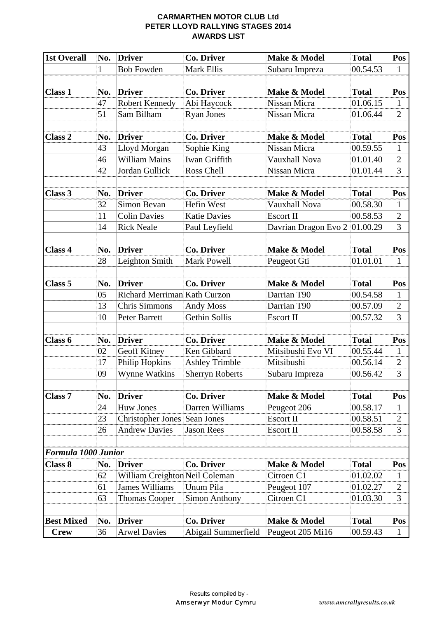#### **CARMARTHEN MOTOR CLUB Ltd PETER LLOYD RALLYING STAGES 2014 AWARDS LIST**

| <b>1st Overall</b>  | No. | <b>Driver</b>                       | <b>Co. Driver</b>      | Make & Model         | <b>Total</b> | Pos            |
|---------------------|-----|-------------------------------------|------------------------|----------------------|--------------|----------------|
|                     | 1   | <b>Bob Fowden</b>                   | <b>Mark Ellis</b>      | Subaru Impreza       | 00.54.53     | 1              |
|                     |     |                                     |                        |                      |              |                |
| <b>Class 1</b>      | No. | <b>Driver</b>                       | <b>Co. Driver</b>      | Make & Model         | <b>Total</b> | Pos            |
|                     | 47  | <b>Robert Kennedy</b>               | Abi Haycock            | Nissan Micra         | 01.06.15     | 1              |
|                     | 51  | Sam Bilham                          | <b>Ryan Jones</b>      | Nissan Micra         | 01.06.44     | $\overline{2}$ |
|                     |     |                                     |                        |                      |              |                |
| <b>Class 2</b>      | No. | <b>Driver</b>                       | <b>Co. Driver</b>      | Make & Model         | <b>Total</b> | Pos            |
|                     | 43  | Lloyd Morgan                        | Sophie King            | Nissan Micra         | 00.59.55     | 1              |
|                     | 46  | <b>William Mains</b>                | <b>Iwan Griffith</b>   | Vauxhall Nova        | 01.01.40     | $\overline{2}$ |
|                     | 42  | Jordan Gullick                      | Ross Chell             | Nissan Micra         | 01.01.44     | 3              |
|                     |     |                                     |                        |                      |              |                |
| Class 3             | No. | <b>Driver</b>                       | <b>Co. Driver</b>      | Make & Model         | <b>Total</b> | Pos            |
|                     | 32  | Simon Bevan                         | <b>Hefin West</b>      | <b>Vauxhall Nova</b> | 00.58.30     | 1              |
|                     | 11  | <b>Colin Davies</b>                 | <b>Katie Davies</b>    | <b>Escort II</b>     | 00.58.53     | $\overline{2}$ |
|                     | 14  | <b>Rick Neale</b>                   | Paul Leyfield          | Davrian Dragon Evo 2 | 01.00.29     | $\overline{3}$ |
|                     |     |                                     |                        |                      |              |                |
| Class 4             | No. | <b>Driver</b>                       | <b>Co. Driver</b>      | Make & Model         | <b>Total</b> | Pos            |
|                     | 28  | Leighton Smith                      | <b>Mark Powell</b>     | Peugeot Gti          | 01.01.01     | 1              |
|                     |     |                                     |                        |                      |              |                |
| Class <sub>5</sub>  | No. | <b>Driver</b>                       | <b>Co. Driver</b>      | Make & Model         | <b>Total</b> | Pos            |
|                     | 05  | <b>Richard Merriman Kath Curzon</b> |                        | Darrian T90          | 00.54.58     | $\mathbf{1}$   |
|                     | 13  | Chris Simmons                       | <b>Andy Moss</b>       | Darrian T90          | 00.57.09     | $\overline{2}$ |
|                     | 10  | Peter Barrett                       | <b>Gethin Sollis</b>   | <b>Escort II</b>     | 00.57.32     | $\overline{3}$ |
|                     |     |                                     |                        |                      |              |                |
| Class 6             | No. | <b>Driver</b>                       | <b>Co. Driver</b>      | Make & Model         | <b>Total</b> | Pos            |
|                     | 02  | Geoff Kitney                        | Ken Gibbard            | Mitsibushi Evo VI    | 00.55.44     | $\mathbf{1}$   |
|                     | 17  | Philip Hopkins                      | <b>Ashley Trimble</b>  | Mitsibushi           | 00.56.14     | $\overline{2}$ |
|                     | 09  | <b>Wynne Watkins</b>                | <b>Sherryn Roberts</b> | Subaru Impreza       | 00.56.42     | 3              |
|                     |     |                                     |                        |                      |              |                |
| <b>Class 7</b>      | No. | <b>Driver</b>                       | Co. Driver             | Make & Model         | <b>Total</b> | Pos            |
|                     | 24  | <b>Huw Jones</b>                    | Darren Williams        | Peugeot 206          | 00.58.17     | $\mathbf 1$    |
|                     | 23  | Christopher Jones Sean Jones        |                        | <b>Escort II</b>     | 00.58.51     | $\overline{2}$ |
|                     | 26  | <b>Andrew Davies</b>                | <b>Jason Rees</b>      | <b>Escort II</b>     | 00.58.58     | 3              |
|                     |     |                                     |                        |                      |              |                |
| Formula 1000 Junior |     |                                     |                        |                      |              |                |
| Class 8             | No. | <b>Driver</b>                       | <b>Co. Driver</b>      | Make & Model         | <b>Total</b> | Pos            |
|                     | 62  | William Creighton Neil Coleman      |                        | Citroen C1           | 01.02.02     | 1              |
|                     | 61  | <b>James Williams</b>               | Unum Pila              | Peugeot 107          | 01.02.27     | $\overline{2}$ |
|                     | 63  | <b>Thomas Cooper</b>                | <b>Simon Anthony</b>   | Citroen C1           | 01.03.30     | 3              |
|                     |     |                                     |                        |                      |              |                |
| <b>Best Mixed</b>   | No. | <b>Driver</b>                       | <b>Co. Driver</b>      | Make & Model         | <b>Total</b> | Pos            |
| <b>Crew</b>         | 36  | <b>Arwel Davies</b>                 | Abigail Summerfield    | Peugeot 205 Mi16     | 00.59.43     | $\mathbf{1}$   |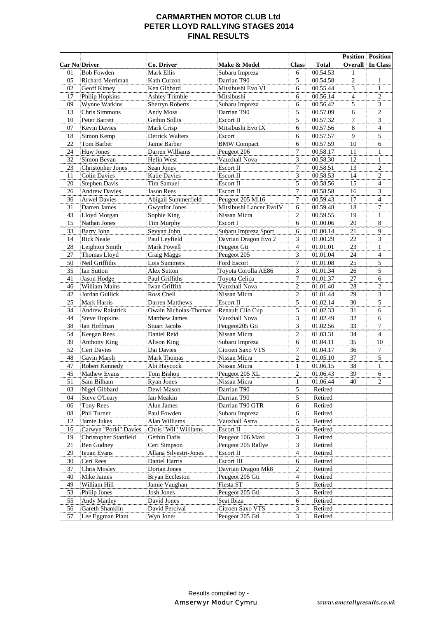# **CARMARTHEN MOTOR CLUB Ltd PETER LLOYD RALLYING STAGES 2014 FINAL RESULTS**

|                      |                          |                              |                         |                         |              |                | <b>Position Position</b> |
|----------------------|--------------------------|------------------------------|-------------------------|-------------------------|--------------|----------------|--------------------------|
| <b>Car No Driver</b> |                          | Co. Driver                   | Make & Model            | <b>Class</b>            | <b>Total</b> | Overall        | In Class                 |
| 01                   | <b>Bob Fowden</b>        | Mark Ellis                   | Subaru Impreza          | 6                       | 00.54.53     | 1              |                          |
| 05                   | Richard Merriman         | Kath Curzon                  | Darrian T90             | 5                       | 00.54.58     | $\overline{c}$ | $\mathbf{1}$             |
| 02                   | Geoff Kitney             | Ken Gibbard                  | Mitsibushi Evo VI       | 6                       | 00.55.44     | 3              | $\mathbf{1}$             |
| 17                   | Philip Hopkins           | <b>Ashley Trimble</b>        | Mitsibushi              | 6                       | 00.56.14     | $\overline{4}$ | $\overline{c}$           |
| 09                   | Wynne Watkins            | <b>Sherryn Roberts</b>       | Subaru Impreza          | 6                       | 00.56.42     | 5              | 3                        |
| 13                   | <b>Chris Simmons</b>     | Andy Moss                    | Darrian T90             | 5                       | 00.57.09     | 6              | $\overline{c}$           |
| 10                   | Peter Barrett            | Gethin Sollis                | Escort II               | 5                       | 00.57.32     | $\overline{7}$ | 3                        |
| 07                   | <b>Kevin Davies</b>      | Mark Crisp                   | Mitsibushi Evo IX       | 6                       | 00.57.56     | 8              | 4                        |
| 18                   | Simon Kemp               | Derrick Walters              | Escort                  | 6                       | 00.57.57     | 9              | 5                        |
| 22                   | Tom Barber               | Jaime Barber                 | <b>BMW</b> Compact      | 6                       | 00.57.59     | 10             | 6                        |
| 24                   | <b>Huw Jones</b>         | Darren Williams              | Peugeot 206             | $\overline{7}$          | 00.58.17     | 11             | $\mathbf{1}$             |
| 32                   | Simon Bevan              | Hefin West                   | Vauxhall Nova           | 3                       | 00.58.30     | 12             | $\mathbf{1}$             |
| 23                   | <b>Christopher Jones</b> | Sean Jones                   | Escort II               | $\overline{7}$          | 00.58.51     | 13             | $\overline{c}$           |
| 11                   | <b>Colin Davies</b>      | <b>Katie Davies</b>          | Escort II               | 3                       | 00.58.53     | 14             | $\overline{2}$           |
| 20                   | <b>Stephen Davis</b>     | Tim Samuel                   | Escort II               | 5                       | 00.58.56     | 15             | 4                        |
| 26                   | <b>Andrew Davies</b>     | Jason Rees                   | Escort II               | 7                       | 00.58.58     | 16             | 3                        |
| 36                   | <b>Arwel Davies</b>      | Abigail Summerfield          | Peugeot 205 Mi16        | 7                       | 00.59.43     | 17             | $\overline{4}$           |
| 31                   | Darren James             | <b>Gwynfor Jones</b>         | Mitsibushi Lancer EvoIV | 6                       | 00.59.48     | 18             | $\tau$                   |
| 43                   | Lloyd Morgan             | Sophie King                  | Nissan Micra            | $\overline{c}$          | 00.59.55     | 19             | $\mathbf{1}$             |
| 15                   | Nathan Jones             | Tim Murphy                   | Escort I                | 6                       | 01.00.06     | $20\,$         | 8                        |
| 33                   | Barry John               | Seyyan John                  | Subaru Impreza Sport    | 6                       | 01.00.14     | 21             | 9                        |
| 14                   | <b>Rick Neale</b>        | Paul Leyfield                | Davrian Dragon Evo 2    | 3                       | 01.00.29     | 22             | $\overline{3}$           |
| 28                   | Leighton Smith           | Mark Powell                  | Peugeot Gti             | $\overline{4}$          | 01.01.01     | 23             | $\mathbf{1}$             |
| 27                   | Thomas Lloyd             | Craig Maggs                  | Peugeot 205             | 3                       | 01.01.04     | 24             | $\overline{4}$           |
| 50                   | Neil Griffiths           | Lois Summers                 | Ford Escort             | 7                       | 01.01.08     | 25             | 5                        |
| 35                   | Ian Sutton               | <b>Alex Sutton</b>           | Toyota Corolla AE86     | 3                       | 01.01.34     | 26             | 5                        |
| 41                   | Jason Hodge              | Paul Griffiths               | Toyota Celica           | 7                       | 01.01.37     | 27             | 6                        |
| 46                   | <b>William Mains</b>     | Iwan Griffith                | Vauxhall Nova           | $\overline{c}$          | 01.01.40     | 28             | $\mathfrak{2}$           |
| 42                   | Jordan Gullick           | Ross Chell                   | Nissan Micra            | $\overline{c}$          | 01.01.44     | 29             | 3                        |
| 25                   | <b>Mark Harris</b>       | Darren Matthews              | Escort II               | 5                       | 01.02.14     | 30             | 5                        |
| 34                   | <b>Andrew Raistrick</b>  | <b>Owain Nicholas-Thomas</b> | Renault Clio Cup        | 5                       | 01.02.33     | 31             | 6                        |
| 44                   | <b>Steve Hopkins</b>     | <b>Matthew James</b>         | Vauxhall Nova           | 3                       | 01.02.49     | 32             | 6                        |
| 38                   | Ian Hoffman              | <b>Stuart Jacobs</b>         | Peugeot205 Gti          | 3                       | 01.02.56     | 33             | $\tau$                   |
| 54                   | Keegan Rees              | Daniel Reid                  | Nissan Micra            | $\overline{c}$          | 01.03.31     | 34             | $\overline{4}$           |
| 39                   | <b>Anthony King</b>      | Alison King                  | Subaru Impreza          | 6                       | 01.04.11     | 35             | 10                       |
| 52                   | Ceri Davies              | Dai Davies                   | Citroen Saxo VTS        | 7                       | 01.04.17     | 36             | $\tau$                   |
| 48                   | Gavin Marsh              | <b>Mark Thomas</b>           | Nissan Micra            | $\overline{c}$          | 01.05.10     | 37             | 5                        |
| 47                   | Robert Kennedy           | Abi Haycock                  | Nissan Micra            | $\mathbf{1}$            | 01.06.15     | 38             | $\mathbf{1}$             |
| 45                   | <b>Mathew Evans</b>      | Tom Bishop                   | Peugeot 205 XL          | $\overline{2}$          | 01.06.43     | 39             | 6                        |
| 51                   | Sam Bilham               | Ryan Jones                   | Nissan Micra            | $\mathbf{1}$            | 01.06.44     | 40             | 2                        |
| 03                   | Nigel Gibbard            | Dewi Mason                   | Darrian T90             | 5                       | Retired      |                |                          |
| 04                   | Steve O'Leary            | Ian Meakin                   | Darrian T90             | 5                       | Retired      |                |                          |
| 06                   | Tony Rees                | Alun James                   | Darrian T90 GTR         | 6                       | Retired      |                |                          |
| $08\,$               | Phil Turner              | Paul Fowden                  | Subaru Impreza          | 6                       | Retired      |                |                          |
| 12                   | Jamie Jukes              | Alan Williams                | Vauxhall Astra          | 5                       | Retired      |                |                          |
| 16                   | Carwyn "Porki" Davies    | Chris "Wil" Williams         | Escort II               | 6                       | Retired      |                |                          |
| 19                   | Christopher Stanfield    | Gethin Dafis                 | Peugeot 106 Maxi        | 3                       | Retired      |                |                          |
| $21\,$               | <b>Ben Godney</b>        | Ceri Simpson                 | Peugeot 205 Rallye      | 3                       | Retired      |                |                          |
| 29                   | Ieuan Evans              | Allana Silvestri-Jones       | Escort II               | 4                       | Retired      |                |                          |
| 30                   | Ceri Rees                | Daniel Harris                | <b>Escort III</b>       | 6                       | Retired      |                |                          |
| 37                   | Chris Mosley             | Dorian Jones                 | Davrian Dragon Mk8      | $\overline{\mathbf{c}}$ | Retired      |                |                          |
| 40                   | Mike James               | <b>Bryan Eccleston</b>       | Peugeot 205 Gti         | 4                       | Retired      |                |                          |
| 49                   | William Hill             | Jamie Vaughan                | Fiesta ST               | 5                       | Retired      |                |                          |
| 53                   | Philip Jones             | Josh Jones                   | Peugeot 205 Gti         | 3                       | Retired      |                |                          |
| 55                   | Andy Manley              | David Jones                  | Seat Ibiza              | 6                       | Retired      |                |                          |
| 56                   | Gareth Shanklin          | David Percival               | Citroen Saxo VTS        | 3                       | Retired      |                |                          |
| 57                   | Lee Eggman Plant         | Wyn Jones                    | Peugeot 205 Gti         | 3                       | Retired      |                |                          |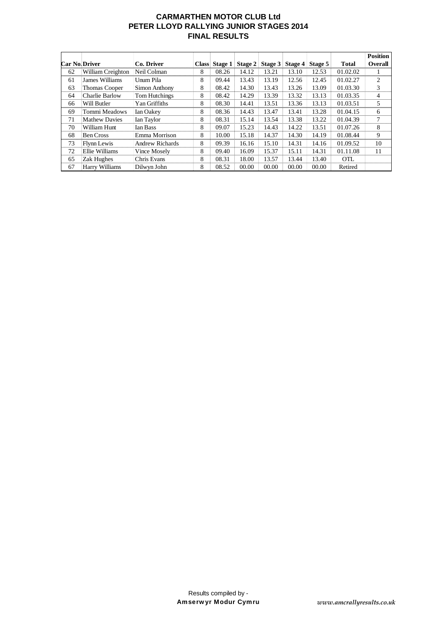# **CARMARTHEN MOTOR CLUB Ltd PETER LLOYD RALLYING JUNIOR STAGES 2014 FINAL RESULTS**

|                      |                      |                        |              |         |         |         |         |         |              | <b>Position</b> |
|----------------------|----------------------|------------------------|--------------|---------|---------|---------|---------|---------|--------------|-----------------|
| <b>Car No.Driver</b> |                      | Co. Driver             | <b>Class</b> | Stage 1 | Stage 2 | Stage 3 | Stage 4 | Stage 5 | <b>Total</b> | <b>Overall</b>  |
| 62                   | William Creighton    | Neil Colman            | 8            | 08.26   | 14.12   | 13.21   | 13.10   | 12.53   | 01.02.02     |                 |
| 61                   | James Williams       | Unum Pila              | 8            | 09.44   | 13.43   | 13.19   | 12.56   | 12.45   | 01.02.27     | 2               |
| 63                   | Thomas Cooper        | Simon Anthony          | 8            | 08.42   | 14.30   | 13.43   | 13.26   | 13.09   | 01.03.30     | 3               |
| 64                   | Charlie Barlow       | Tom Hutchings          | 8            | 08.42   | 14.29   | 13.39   | 13.32   | 13.13   | 01.03.35     | $\overline{4}$  |
| 66                   | Will Butler          | Yan Griffiths          | 8            | 08.30   | 14.41   | 13.51   | 13.36   | 13.13   | 01.03.51     | 5               |
| 69                   | Tommi Meadows        | Ian Oakev              | 8            | 08.36   | 14.43   | 13.47   | 13.41   | 13.28   | 01.04.15     | 6               |
| 71                   | <b>Mathew Davies</b> | Ian Taylor             | 8            | 08.31   | 15.14   | 13.54   | 13.38   | 13.22   | 01.04.39     | 7               |
| 70                   | William Hunt         | <b>Ian Bass</b>        | 8            | 09.07   | 15.23   | 14.43   | 14.22   | 13.51   | 01.07.26     | 8               |
| 68                   | <b>Ben Cross</b>     | Emma Morrison          | 8            | 10.00   | 15.18   | 14.37   | 14.30   | 14.19   | 01.08.44     | 9               |
| 73                   | <b>Flynn Lewis</b>   | <b>Andrew Richards</b> | 8            | 09.39   | 16.16   | 15.10   | 14.31   | 14.16   | 01.09.52     | 10              |
| 72                   | Ellie Williams       | Vince Mosely           | 8            | 09.40   | 16.09   | 15.37   | 15.11   | 14.31   | 01.11.08     | 11              |
| 65                   | Zak Hughes           | Chris Evans            | 8            | 08.31   | 18.00   | 13.57   | 13.44   | 13.40   | <b>OTL</b>   |                 |
| 67                   | Harry Williams       | Dilwyn John            | 8            | 08.52   | 00.00   | 00.00   | 00.00   | 00.00   | Retired      |                 |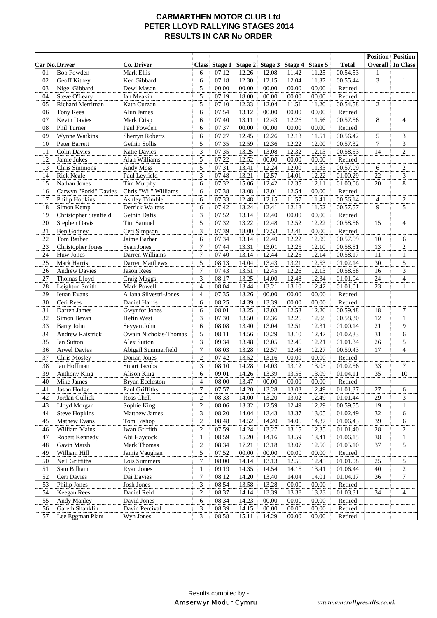## **CARMARTHEN MOTOR CLUB Ltd PETER LLOYD RALLYING STAGES 2014 RESULTS IN CAR No ORDER**

|                      |                                |                           |                             |                |                |                |                |                |                      |                  | <b>Position Position</b>     |
|----------------------|--------------------------------|---------------------------|-----------------------------|----------------|----------------|----------------|----------------|----------------|----------------------|------------------|------------------------------|
| <b>Car No.Driver</b> |                                | Co. Driver                |                             | Class Stage 1  | Stage 2        | Stage 3        | Stage 4        | Stage 5        | <b>Total</b>         |                  | <b>Overall</b> In Class      |
| 01                   | <b>Bob Fowden</b>              | Mark Ellis                | 6                           | 07.12          | 12.26          | 12.08          | 11.42          | 11.25          | 00.54.53             | 1                |                              |
| 02                   | Geoff Kitney                   | Ken Gibbard               | 6                           | 07.18          | 12.30          | 12.15          | 12.04          | 11.37          | 00.55.44             | 3                | $\mathbf{1}$                 |
| 03                   | Nigel Gibbard                  | Dewi Mason                | 5                           | 00.00          | 00.00          | 00.00          | 00.00          | 00.00          | Retired              |                  |                              |
| 04                   | <b>Steve O'Leary</b>           | Ian Meakin                | 5                           | 07.19          | 18.00          | 00.00          | 00.00          | 00.00          | Retired              |                  |                              |
| 05                   | Richard Merriman               | Kath Curzon               | 5                           | 07.10          | 12.33          | 12.04          | 11.51          | 11.20          | 00.54.58             | $\boldsymbol{2}$ | $\mathbf{1}$                 |
| 06                   | <b>Tony Rees</b>               | Alun James                | 6                           | 07.54          | 13.12          | 00.00          | 00.00          | 00.00          | Retired              |                  |                              |
| 07                   | Kevin Davies                   | Mark Crisp                | 6                           | 07.40          | 13.11          | 12.43          | 12.26          | 11.56          | 00.57.56             | 8                | 4                            |
| 08                   | Phil Turner                    | Paul Fowden               | 6                           | 07.37          | 00.00          | 00.00          | 00.00          | 00.00          | Retired              |                  |                              |
| 09                   | Wynne Watkins                  | <b>Sherryn Roberts</b>    | 6                           | 07.27          | 12.45          | 12.26          | 12.13          | 11.51          | 00.56.42             | 5                | 3                            |
| 10                   | Peter Barrett                  | Gethin Sollis             | 5                           | 07.35          | 12.59          | 12.36          | 12.22          | 12.00          | 00.57.32             | $\tau$           | 3                            |
| 11                   | <b>Colin Davies</b>            | <b>Katie Davies</b>       | $\ensuremath{\mathfrak{Z}}$ | 07.35          | 13.25          | 13.08          | 12.32          | 12.13          | 00.58.53             | 14               | $\overline{c}$               |
| 12                   | Jamie Jukes                    | Alan Williams             | 5                           | 07.22          | 12.52          | 00.00          | 00.00          | 00.00          | Retired              |                  |                              |
| 13                   | Chris Simmons                  | Andy Moss                 | 5                           | 07.31          | 13.41          | 12.24          | 12.00          | 11.33          | 00.57.09             | 6                | $\mathbf{2}$                 |
| 14                   | <b>Rick Neale</b>              | Paul Leyfield             | 3                           | 07.48          | 13.21          | 12.57          | 14.01          | 12.22          | 01.00.29             | 22               | 3                            |
| 15                   | Nathan Jones                   | Tim Murphy                | 6                           | 07.32          | 15.06          | 12.42          | 12.35          | 12.11          | 01.00.06             | 20               | 8                            |
| 16                   | Carwyn "Porki" Davies          | Chris "Wil" Williams      | 6                           | 07.38          | 13.08          | 13.01          | 12.54          | 00.00          | Retired              |                  |                              |
| 17                   | Philip Hopkins                 | <b>Ashley Trimble</b>     | 6                           | 07.33          | 12.48          | 12.15          | 11.57          | 11.41          | 00.56.14             | $\overline{4}$   | 2                            |
| 18                   | Simon Kemp                     | <b>Derrick Walters</b>    | 6                           | 07.42          | 13.24          | 12.41          | 12.18          | 11.52          | 00.57.57             | 9                | 5                            |
| 19                   | Christopher Stanfield          | Gethin Dafis              | 3                           | 07.52          | 13.14          | 12.40          | 00.00          | 00.00          | Retired              |                  |                              |
| 20                   | <b>Stephen Davis</b>           | <b>Tim Samuel</b>         | 5                           | 07.32          | 13.22          | 12.48          | 12.52          | 12.22          | 00.58.56             | 15               | $\overline{4}$               |
| 21                   | <b>Ben Godney</b>              | Ceri Simpson              | $\mathfrak{Z}$              | 07.39          | 18.00          | 17.53          | 12.41          | 00.00          | Retired              |                  |                              |
| 22                   | Tom Barber                     | Jaime Barber              | 6                           | 07.34          | 13.14          | 12.40          | 12.22          | 12.09          | 00.57.59             | 10               | 6                            |
| 23                   | <b>Christopher Jones</b>       | Sean Jones                | $\boldsymbol{7}$            | 07.44          | 13.31          | 13.01          | 12.25          | 12.10          | 00.58.51             | 13               | $\overline{c}$               |
| 24                   | Huw Jones                      | Darren Williams           | $\boldsymbol{7}$            | 07.40          | 13.14          | 12.44          | 12.25          | 12.14          | 00.58.17             | 11               | $\mathbf{1}$                 |
| 25                   | Mark Harris                    | <b>Darren Matthews</b>    | 5                           | 08.13          | 14.04          | 13.43          | 13.21          | 12.53          | 01.02.14             | 30               | 5                            |
| 26                   | <b>Andrew Davies</b>           | Jason Rees                | $\boldsymbol{7}$            | 07.43          | 13.51          | 12.45          | 12.26          | 12.13          | 00.58.58             | 16               | 3                            |
| 27                   | Thomas Lloyd                   | Craig Maggs               | 3                           | 08.17          | 13.25          | 14.00          | 12.48          | 12.34          | 01.01.04             | $\overline{24}$  | $\overline{\mathcal{L}}$     |
| 28                   | Leighton Smith                 | Mark Powell               | $\overline{4}$              | 08.04          | 13.44          | 13.21          | 13.10          | 12.42          | 01.01.01             | 23               | $\mathbf{1}$                 |
| 29                   | Ieuan Evans                    | Allana Silvestri-Jones    | $\overline{4}$              | 07.35          | 13.26          | 00.00          | 00.00          | 00.00          | Retired              |                  |                              |
| 30                   | Ceri Rees                      | Daniel Harris             | 6                           | 08.25          | 14.39          | 13.39          | 00.00          | 00.00          | Retired              |                  |                              |
| 31                   | Darren James                   | <b>Gwynfor Jones</b>      | $\sqrt{6}$                  | 08.01          | 13.25          | 13.03          | 12.53          | 12.26          | 00.59.48             | 18               | $\tau$                       |
| 32                   | Simon Bevan                    | Hefin West                | $\mathfrak{Z}$              | 07.30          | 13.50          | 12.36          | 12.26          | 12.08          | 00.58.30             | 12               | $\mathbf{1}$                 |
| 33                   | <b>Barry John</b>              | Seyyan John               | 6                           | 08.08          | 13.40          | 13.04          | 12.51          | 12.31          | 01.00.14             | 21               | 9                            |
| 34                   | <b>Andrew Raistrick</b>        | Owain Nicholas-Thomas     | 5                           | 08.11          | 14.56          | 13.29          | 13.10          | 12.47          | 01.02.33             | 31               | 6                            |
| 35                   | <b>Ian Sutton</b>              | Alex Sutton               | 3                           | 09.34          | 13.48          | 13.05          | 12.46          | 12.21          | 01.01.34             | 26               | 5                            |
| 36                   | <b>Arwel Davies</b>            | Abigail Summerfield       | $\tau$                      | 08.03          | 13.28          | 12.57          | 12.48          | 12.27          | 00.59.43             | 17               | $\overline{4}$               |
| 37                   | Chris Mosley                   | Dorian Jones              | $\sqrt{2}$                  | 07.42          | 13.52          | 13.16          | 00.00          | 00.00          | Retired              |                  |                              |
| 38                   | Ian Hoffman                    | <b>Stuart Jacobs</b>      | $\mathfrak{Z}$              | 08.10          | 14.28          | 14.03          | 13.12          | 13.03          | 01.02.56             | 33               | $\tau$                       |
| 39                   | Anthony King                   | <b>Alison King</b>        | 6                           | 09.01          | 14.26          | 13.39          | 13.56          | 13.09          | 01.04.11             | 35               | 10                           |
| 40                   | Mike James                     | <b>Bryan Eccleston</b>    | 4                           | 08.00          | 13.47          | 00.00          | 00.00          | 00.00          | Retired              |                  |                              |
| 41                   | Jason Hodge                    | Paul Griffiths            | $\tau$                      | 07.57          | 14.20          | 13.28          | 13.03          | 12.49          | 01.01.37             | 27               | 6                            |
| 42<br>43             | Jordan Gullick<br>Lloyd Morgan | Ross Chell<br>Sophie King | $\sqrt{2}$<br>$\sqrt{2}$    | 08.33<br>08.06 | 14.00<br>13.32 | 13.20<br>12.59 | 13.02<br>12.49 | 12.49<br>12.29 | 01.01.44<br>00.59.55 | 29<br>19         | 3                            |
| 44                   | <b>Steve Hopkins</b>           | Matthew James             | $\ensuremath{\mathfrak{Z}}$ | 08.20          | 14.04          | 13.43          | 13.37          | 13.05          | 01.02.49             | 32               | $\mathbf{1}$                 |
| 45                   | Mathew Evans                   | Tom Bishop                | $\sqrt{2}$                  | 08.48          | 14.52          | 14.20          |                | 14.37          |                      | 39               | 6                            |
| 46                   | William Mains                  | Iwan Griffith             | $\sqrt{2}$                  | 07.59          | 14.24          | 13.27          | 14.06<br>13.15 | 12.35          | 01.06.43<br>01.01.40 | $28\,$           | 6<br>$\overline{\mathbf{c}}$ |
| 47                   | Robert Kennedy                 | Abi Haycock               | $\mathbf{1}$                | 08.59          | 15.20          | 14.16          | 13.59          | 13.41          | 01.06.15             | 38               | $\mathbf{1}$                 |
| 48                   | Gavin Marsh                    | Mark Thomas               | $\sqrt{2}$                  | 08.34          | 17.21          | 13.18          | 13.07          | 12.50          | 01.05.10             | $\overline{37}$  | 5                            |
| 49                   | William Hill                   | Jamie Vaughan             | $\mathfrak s$               | 07.52          | 00.00          | 00.00          | 00.00          | 00.00          | Retired              |                  |                              |
| 50                   | Neil Griffiths                 | Lois Summers              | 7                           | 08.00          | 14.14          | 13.13          | 12.56          | 12.45          | 01.01.08             | 25               | 5                            |
| 51                   | Sam Bilham                     | <b>Ryan Jones</b>         | $\mathbf{1}$                | 09.19          | 14.35          | 14.54          | 14.15          | 13.41          | 01.06.44             | $40\,$           | $\overline{c}$               |
| 52                   | Ceri Davies                    | Dai Davies                | $\tau$                      | 08.12          | 14.20          | 13.40          | 14.04          | 14.01          | 01.04.17             | 36               | 7                            |
| 53                   | Philip Jones                   | Josh Jones                | $\mathfrak{Z}$              | 08.54          | 13.58          | 13.28          | 00.00          | 00.00          | Retired              |                  |                              |
| 54                   | Keegan Rees                    | Daniel Reid               | $\sqrt{2}$                  | 08.37          | 14.14          | 13.39          | 13.38          | 13.23          | 01.03.31             | 34               | $\overline{4}$               |
| 55                   | Andy Manley                    | David Jones               | 6                           | 08.34          | 14.23          | 00.00          | 00.00          | 00.00          | Retired              |                  |                              |
| 56                   | Gareth Shanklin                | David Percival            | $\ensuremath{\mathfrak{Z}}$ | 08.39          | 14.15          | 00.00          | 00.00          | 00.00          | Retired              |                  |                              |
| 57                   | Lee Eggman Plant               | Wyn Jones                 | 3                           | 08.58          | 15.11          | 14.29          | 00.00          | 00.00          | Retired              |                  |                              |
|                      |                                |                           |                             |                |                |                |                |                |                      |                  |                              |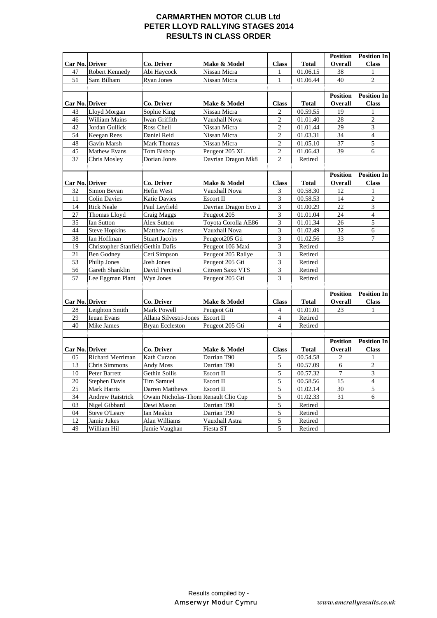## **CARMARTHEN MOTOR CLUB Ltd PETER LLOYD RALLYING STAGES 2014 RESULTS IN CLASS ORDER**

|                       |                                    |                                      |                      |                  |              | <b>Position</b> | <b>Position In</b>       |
|-----------------------|------------------------------------|--------------------------------------|----------------------|------------------|--------------|-----------------|--------------------------|
| <b>Car No. Driver</b> |                                    | Co. Driver                           | Make & Model         | <b>Class</b>     | <b>Total</b> | <b>Overall</b>  | <b>Class</b>             |
| 47                    | <b>Robert Kennedy</b>              | Abi Haycock                          | Nissan Micra         | 1                | 01.06.15     | 38              | $\mathbf{1}$             |
| 51                    | Sam Bilham                         | <b>Ryan Jones</b>                    | Nissan Micra         | 1                | 01.06.44     | 40              | $\overline{2}$           |
|                       |                                    |                                      |                      |                  |              |                 |                          |
|                       |                                    |                                      |                      |                  |              | <b>Position</b> | <b>Position In</b>       |
| Car No. Driver        |                                    | Co. Driver                           | Make & Model         | <b>Class</b>     | <b>Total</b> | <b>Overall</b>  | <b>Class</b>             |
| 43                    | Lloyd Morgan                       | Sophie King                          | Nissan Micra         | $\boldsymbol{2}$ | 00.59.55     | 19              | 1                        |
| 46                    | William Mains                      | Iwan Griffith                        | Vauxhall Nova        | $\overline{c}$   | 01.01.40     | 28              | $\overline{c}$           |
| 42                    | Jordan Gullick                     | Ross Chell                           | Nissan Micra         | $\overline{2}$   | 01.01.44     | 29              | 3                        |
| 54                    | Keegan Rees                        | Daniel Reid                          | Nissan Micra         | $\overline{c}$   | 01.03.31     | $\overline{34}$ | $\overline{4}$           |
| 48                    | Gavin Marsh                        | Mark Thomas                          | Nissan Micra         | $\mathfrak{2}$   | 01.05.10     | 37              | $\overline{5}$           |
| 45                    | Mathew Evans                       | Tom Bishop                           | Peugeot 205 XL       | $\sqrt{2}$       | 01.06.43     | 39              | 6                        |
| 37                    | Chris Mosley                       | Dorian Jones                         | Davrian Dragon Mk8   | $\overline{2}$   | Retired      |                 |                          |
|                       |                                    |                                      |                      |                  |              |                 |                          |
|                       |                                    |                                      |                      |                  |              | <b>Position</b> | <b>Position In</b>       |
| Car No. Driver        |                                    | Co. Driver                           | Make & Model         | <b>Class</b>     | <b>Total</b> | Overall         | <b>Class</b>             |
| 32                    | Simon Bevan                        | Hefin West                           | Vauxhall Nova        | 3                | 00.58.30     | 12              | 1                        |
| 11                    | <b>Colin Davies</b>                | <b>Katie Davies</b>                  | Escort II            | 3                | 00.58.53     | 14              | $\overline{c}$           |
| 14                    | <b>Rick Neale</b>                  | Paul Leyfield                        | Davrian Dragon Evo 2 | 3                | 01.00.29     | $\overline{22}$ | 3                        |
| 27                    | Thomas Lloyd                       | Craig Maggs                          | Peugeot 205          | 3                | 01.01.04     | 24              | $\overline{\mathcal{L}}$ |
| 35                    | <b>Ian Sutton</b>                  | <b>Alex Sutton</b>                   | Toyota Corolla AE86  | 3                | 01.01.34     | $\overline{26}$ | $\overline{5}$           |
| 44                    | <b>Steve Hopkins</b>               | Matthew James                        | Vauxhall Nova        | 3                | 01.02.49     | 32              | 6                        |
| 38                    | Ian Hoffman                        | <b>Stuart Jacobs</b>                 | Peugeot205 Gti       | 3                | 01.02.56     | 33              | $\overline{7}$           |
| 19                    | Christopher Stanfield Gethin Dafis |                                      | Peugeot 106 Maxi     | 3                | Retired      |                 |                          |
| 21                    | <b>Ben Godney</b>                  | Ceri Simpson                         | Peugeot 205 Rallye   | 3                | Retired      |                 |                          |
| 53                    | <b>Philip Jones</b>                | <b>Josh Jones</b>                    | Peugeot 205 Gti      | 3                | Retired      |                 |                          |
| 56                    | Gareth Shanklin                    | David Percival                       | Citroen Saxo VTS     | 3                | Retired      |                 |                          |
| 57                    | Lee Eggman Plant                   | Wyn Jones                            | Peugeot 205 Gti      | 3                | Retired      |                 |                          |
|                       |                                    |                                      |                      |                  |              |                 |                          |
|                       |                                    |                                      |                      |                  |              | <b>Position</b> | <b>Position In</b>       |
| Car No. Driver        |                                    | Co. Driver                           | Make & Model         | <b>Class</b>     | <b>Total</b> | Overall         | <b>Class</b>             |
| 28                    | Leighton Smith                     | Mark Powell                          | Peugeot Gti          | 4                | 01.01.01     | 23              | 1                        |
| 29                    | Ieuan Evans                        | Allana Silvestri-Jones               | Escort II            | $\overline{4}$   | Retired      |                 |                          |
| 40                    | Mike James                         | <b>Bryan Eccleston</b>               | Peugeot 205 Gti      | $\overline{4}$   | Retired      |                 |                          |
|                       |                                    |                                      |                      |                  |              |                 |                          |
|                       |                                    |                                      |                      |                  |              | <b>Position</b> | <b>Position In</b>       |
| Car No. Driver        |                                    | Co. Driver                           | Make & Model         | <b>Class</b>     | <b>Total</b> | Overall         | <b>Class</b>             |
| 05                    | Richard Merriman                   | Kath Curzon                          | Darrian T90          | 5                | 00.54.58     | $\overline{c}$  | $\mathbf{1}$             |
| 13                    | Chris Simmons                      | Andy Moss                            | Darrian T90          | 5                | 00.57.09     | 6               | $\overline{c}$           |
| 10                    | Peter Barrett                      | Gethin Sollis                        | Escort II            | 5                | 00.57.32     | $\overline{7}$  | $\overline{\mathbf{3}}$  |
| 20                    | <b>Stephen Davis</b>               | <b>Tim Samuel</b>                    | Escort II            | 5                | 00.58.56     | $\overline{15}$ | $\overline{4}$           |
| 25                    | Mark Harris                        | Darren Matthews                      | Escort II            | 5                | 01.02.14     | 30              | 5                        |
| 34                    | <b>Andrew Raistrick</b>            | Owain Nicholas-Thom Renault Clio Cup |                      | 5                | 01.02.33     | 31              | 6                        |
| 03                    | Nigel Gibbard                      | Dewi Mason                           | Darrian T90          | 5                | Retired      |                 |                          |
| 04                    | Steve O'Leary                      | Ian Meakin                           | Darrian T90          | $\overline{5}$   | Retired      |                 |                          |
| 12                    | Jamie Jukes                        | Alan Williams                        | Vauxhall Astra       | 5                | Retired      |                 |                          |
| 49                    | William Hil                        | Jamie Vaughan                        | Fiesta ST            | 5                | Retired      |                 |                          |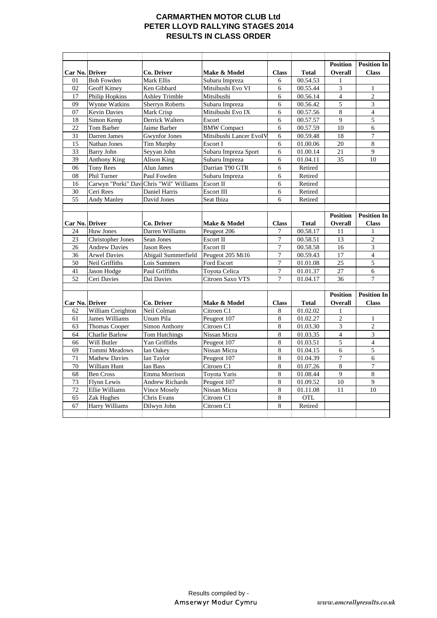# **CARMARTHEN MOTOR CLUB Ltd PETER LLOYD RALLYING STAGES 2014 RESULTS IN CLASS ORDER**

|                |                          |                                         |                         |                  |              | <b>Position</b>  | <b>Position In</b> |
|----------------|--------------------------|-----------------------------------------|-------------------------|------------------|--------------|------------------|--------------------|
| Car No. Driver |                          | Co. Driver                              | Make & Model            | <b>Class</b>     | <b>Total</b> | <b>Overall</b>   | <b>Class</b>       |
| 01             | <b>Bob Fowden</b>        | Mark Ellis                              | Subaru Impreza          | 6                | 00.54.53     | 1                |                    |
| 02             | <b>Geoff Kitney</b>      | Ken Gibbard                             | Mitsibushi Evo VI       | 6                | 00.55.44     | 3                | 1                  |
| 17             | <b>Philip Hopkins</b>    | <b>Ashley Trimble</b>                   | Mitsibushi              | 6                | 00.56.14     | 4                | $\boldsymbol{2}$   |
| 09             | <b>Wynne Watkins</b>     | <b>Sherryn Roberts</b>                  | Subaru Impreza          | 6                | 00.56.42     | 5                | 3                  |
| 07             | <b>Kevin Davies</b>      | Mark Crisp                              | Mitsibushi Evo IX       | 6                | 00.57.56     | 8                | $\overline{4}$     |
| 18             | Simon Kemp               | <b>Derrick Walters</b>                  | Escort                  | 6                | 00.57.57     | 9                | 5                  |
| 22             | Tom Barber               | Jaime Barber                            | <b>BMW</b> Compact      | 6                | 00.57.59     | 10               | 6                  |
| 31             | Darren James             | <b>Gwynfor Jones</b>                    | Mitsibushi Lancer EvoIV | 6                | 00.59.48     | 18               | 7                  |
| 15             | <b>Nathan Jones</b>      | Tim Murphy                              | Escort I                | 6                | 01.00.06     | $\overline{20}$  | 8                  |
| 33             | <b>Barry John</b>        | Seyyan John                             | Subaru Impreza Sport    | 6                | 01.00.14     | $\overline{21}$  | 9                  |
| 39             | <b>Anthony King</b>      | Alison King                             | Subaru Impreza          | 6                | 01.04.11     | 35               | 10                 |
| 06             | <b>Tony Rees</b>         | Alun James                              | Darrian T90 GTR         | 6                | Retired      |                  |                    |
| 08             | Phil Turner              | Paul Fowden                             | Subaru Impreza          | 6                | Retired      |                  |                    |
| 16             |                          | Carwyn "Porki" Dav Chris "Wil" Williams | Escort II               | 6                | Retired      |                  |                    |
| 30             | Ceri Rees                | Daniel Harris                           | <b>Escort III</b>       | 6                | Retired      |                  |                    |
| 55             | Andy Manley              | David Jones                             | Seat Ibiza              | 6                | Retired      |                  |                    |
|                |                          |                                         |                         |                  |              |                  |                    |
|                |                          |                                         |                         |                  |              | <b>Position</b>  | <b>Position In</b> |
| Car No. Driver |                          | Co. Driver                              | Make & Model            | <b>Class</b>     | <b>Total</b> | <b>Overall</b>   | <b>Class</b>       |
| 24             | <b>Huw Jones</b>         | Darren Williams                         | Peugeot 206             | 7                | 00.58.17     | 11               | $\mathbf{1}$       |
| 23             | <b>Christopher Jones</b> | Sean Jones                              | Escort II               | $\overline{7}$   | 00.58.51     | 13               | $\overline{c}$     |
| 26             | <b>Andrew Davies</b>     | <b>Jason Rees</b>                       | Escort II               | $\overline{7}$   | 00.58.58     | 16               | 3                  |
| 36             | <b>Arwel Davies</b>      | Abigail Summerfield                     | Peugeot 205 Mi16        | $\overline{7}$   | 00.59.43     | 17               | $\overline{4}$     |
| 50             | Neil Griffiths           | Lois Summers                            | Ford Escort             | $\tau$           | 01.01.08     | 25               | 5                  |
| 41             | Jason Hodge              | Paul Griffiths                          | Toyota Celica           | $\boldsymbol{7}$ | 01.01.37     | 27               | 6                  |
| 52             | Ceri Davies              | Dai Davies                              | Citroen Saxo VTS        | 7                | 01.04.17     | 36               | 7                  |
|                |                          |                                         |                         |                  |              |                  |                    |
|                |                          |                                         |                         |                  |              | <b>Position</b>  | <b>Position In</b> |
| Car No. Driver |                          | Co. Driver                              | Make & Model            | <b>Class</b>     | <b>Total</b> | Overall          | <b>Class</b>       |
| 62             | William Creighton        | Neil Colman                             | Citroen <sub>C1</sub>   | 8                | 01.02.02     | $\mathbf{1}$     |                    |
| 61             | James Williams           | Unum Pila                               | Peugeot 107             | 8                | 01.02.27     | $\mathfrak{2}$   | $\mathbf{1}$       |
| 63             | <b>Thomas Cooper</b>     | <b>Simon Anthony</b>                    | Citroen <sub>C1</sub>   | 8                | 01.03.30     | 3                | $\overline{c}$     |
| 64             | Charlie Barlow           | Tom Hutchings                           | Nissan Micra            | 8                | 01.03.35     | $\overline{4}$   | 3                  |
| 66             | Will Butler              | Yan Griffiths                           | Peugeot 107             | 8                | 01.03.51     | 5                | $\overline{4}$     |
| 69             | Tommi Meadows            | <b>Ian Oakey</b>                        | Nissan Micra            | 8                | 01.04.15     | 6                | 5                  |
| 71             | <b>Mathew Davies</b>     | Ian Taylor                              | Peugeot 107             | 8                | 01.04.39     | $\boldsymbol{7}$ | 6                  |
| 70             | William Hunt             | Ian Bass                                | Citroen <sub>C1</sub>   | 8                | 01.07.26     | 8                | $\overline{7}$     |
| 68             | <b>Ben Cross</b>         | Emma Morrison                           | Toyota Yaris            | 8                | 01.08.44     | 9                | 8                  |
| 73             | <b>Flynn Lewis</b>       | <b>Andrew Richards</b>                  | Peugeot 107             | 8                | 01.09.52     | $\overline{10}$  | 9                  |
| 72             | Ellie Williams           | Vince Mosely                            | Nissan Micra            | 8                | 01.11.08     | 11               | 10                 |
| 65             | Zak Hughes               | Chris Evans                             | Citroen <sub>C1</sub>   | 8                | <b>OTL</b>   |                  |                    |
| 67             | Harry Williams           | Dilwyn John                             | Citroen <sub>C1</sub>   | 8                | Retired      |                  |                    |
|                |                          |                                         |                         |                  |              |                  |                    |